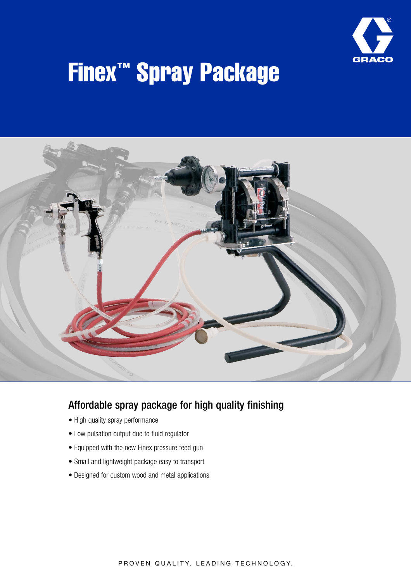

# Finex™ Spray Package



# Affordable spray package for high quality finishing

- High quality spray performance
- Low pulsation output due to fluid regulator
- Equipped with the new Finex pressure feed gun
- Small and lightweight package easy to transport
- Designed for custom wood and metal applications